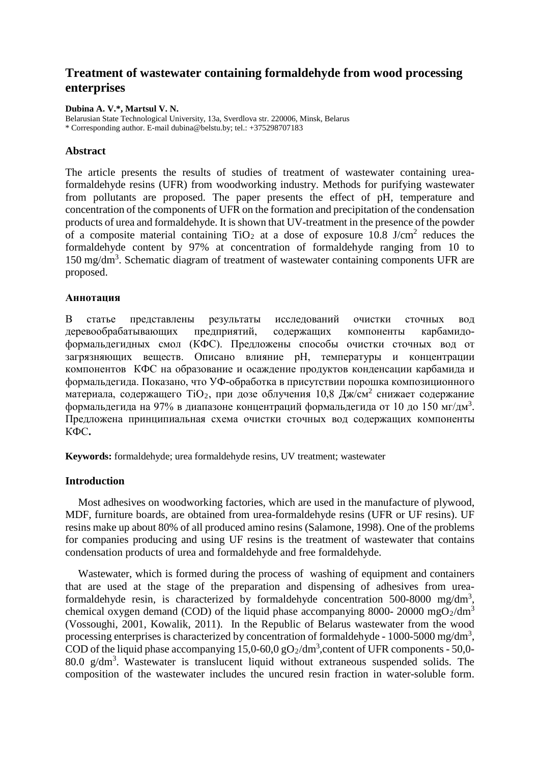# **Treatment of wastewater containing formaldehyde from wood processing enterprises**

**Dubina A. V.\*, Martsul V. N.**

Belarusian State Technological University, 13a, Sverdlova str. 220006, Minsk, Belarus \* Corresponding author. E-mail dubina@belstu.by; tel.: +375298707183

# **Abstract**

The article presents the results of studies of treatment of wastewater containing ureaformaldehyde resins (UFR) from woodworking industry. Methods for purifying wastewater from pollutants are proposed. The paper presents the effect of pH, temperature and concentration of the components of UFR on the formation and precipitation of the condensation products of urea and formaldehyde. It is shown that UV-treatment in the presence of the powder of a composite material containing  $TiO<sub>2</sub>$  at a dose of exposure 10.8 J/cm<sup>2</sup> reduces the formaldehyde content by 97% at concentration of formaldehyde ranging from 10 to 150 mg/dm<sup>3</sup>. Schematic diagram of treatment of wastewater containing components UFR are proposed.

## **Аннотация**

В статье представлены результаты исследований очистки сточных вод деревообрабатывающих предприятий, содержащих компоненты карбамидоформальдегидных смол (КФС). Предложены способы очистки сточных вод от загрязняющих веществ. Описано влияние рН, температуры и концентрации компонентов КФС на образование и осаждение продуктов конденсации карбамида и формальдегида. Показано, что УФ-обработка в присутствии порошка композиционного материала, содержащего  $TiO_2$ , при дозе облучения 10,8 Дж/см<sup>2</sup> снижает содержание формальдегида на 97% в диапазоне концентраций формальдегида от 10 до 150 мг/дм<sup>3</sup>. Предложена принципиальная схема очистки сточных вод содержащих компоненты КФС**.**

**Keywords:** formaldehyde; urea formaldehyde resins, UV treatment; wastewater

## **Introduction**

Most adhesives on woodworking factories, which are used in the manufacture of plywood, MDF, furniture boards, are obtained from urea-formaldehyde resins (UFR or UF resins). UF resins make up about 80% of all produced amino resins (Salamone, 1998). One of the problems for companies producing and using UF resins is the treatment of wastewater that contains condensation products of urea and formaldehyde and free formaldehyde.

Wastewater, which is formed during the process of washing of equipment and containers that are used at the stage of the preparation and dispensing of adhesives from ureaformaldehyde resin, is characterized by formaldehyde concentration 500-8000 mg/dm<sup>3</sup>, chemical oxygen demand (COD) of the liquid phase accompanying 8000- 20000 mgO<sub>2</sub>/dm<sup>3</sup> (Vossoughi, 2001, Kowalik, 2011). In the Republic of Belarus wastewater from the wood processing enterprises is characterized by concentration of formaldehyde -  $1000-5000$  mg/dm<sup>3</sup>, COD of the liquid phase accompanying  $15,0-60,0$  gO<sub>2</sub>/dm<sup>3</sup>, content of UFR components - 50,0-80.0  $g/dm<sup>3</sup>$ . Wastewater is translucent liquid without extraneous suspended solids. The composition of the wastewater includes the uncured resin fraction in water-soluble form.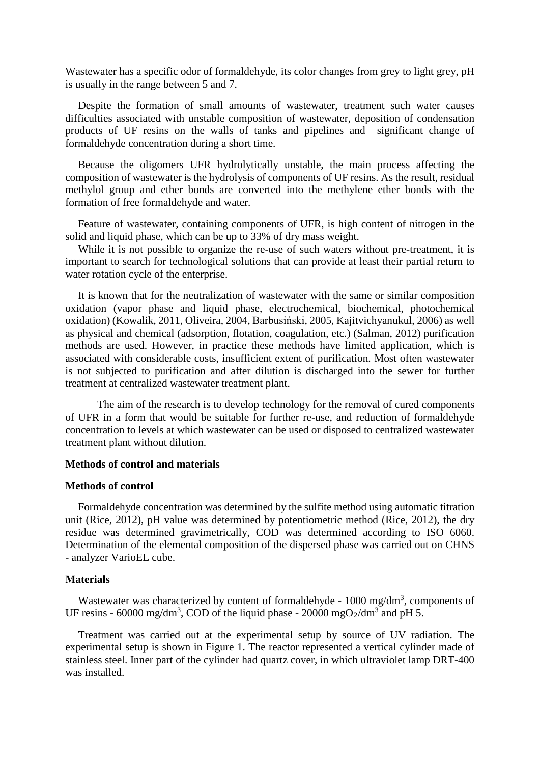Wastewater has a specific odor of formaldehyde, its color changes from grey to light grey, pH is usually in the range between 5 and 7.

Despite the formation of small amounts of wastewater, treatment such water causes difficulties associated with unstable composition of wastewater, deposition of condensation products of UF resins on the walls of tanks and pipelines and significant change of formaldehyde concentration during a short time.

Because the oligomers UFR hydrolytically unstable, the main process affecting the composition of wastewater is the hydrolysis of components of UF resins. As the result, residual methylol group and ether bonds are converted into the methylene ether bonds with the formation of free formaldehyde and water.

Feature of wastewater, containing components of UFR, is high content of nitrogen in the solid and liquid phase, which can be up to 33% of dry mass weight.

While it is not possible to organize the re-use of such waters without pre-treatment, it is important to search for technological solutions that can provide at least their partial return to water rotation cycle of the enterprise.

It is known that for the neutralization of wastewater with the same or similar composition oxidation (vapor phase and liquid phase, electrochemical, biochemical, photochemical oxidation) (Kowalik, 2011, Oliveira, 2004, Barbusiński, 2005, Kajitvichyanukul, 2006) as well as physical and chemical (adsorption, flotation, coagulation, etc.) (Salman, 2012) purification methods are used. However, in practice these methods have limited application, which is associated with considerable costs, insufficient extent of purification. Most often wastewater is not subjected to purification and after dilution is discharged into the sewer for further treatment at centralized wastewater treatment plant.

The aim of the research is to develop technology for the removal of cured components of UFR in a form that would be suitable for further re-use, and reduction of formaldehyde concentration to levels at which wastewater can be used or disposed to centralized wastewater treatment plant without dilution.

### **Methods of control and materials**

#### **Methods of control**

Formaldehyde concentration was determined by the sulfite method using automatic titration unit (Rice, 2012), pH value was determined by potentiometric method (Rice, 2012), the dry residue was determined gravimetrically, COD was determined according to ISO 6060. Determination of the elemental composition of the dispersed phase was carried out on CHNS - analyzer VarioEL cube.

#### **Мaterials**

Wastewater was characterized by content of formaldehyde -  $1000 \text{ mg/dm}^3$ , components of UF resins - 60000 mg/dm<sup>3</sup>, COD of the liquid phase - 20000 mgO<sub>2</sub>/dm<sup>3</sup> and pH 5.

Treatment was carried out at the experimental setup by source of UV radiation. The experimental setup is shown in Figure 1. The reactor represented a vertical cylinder made of stainless steel. Inner part of the cylinder had quartz cover, in which ultraviolet lamp DRT-400 was installed.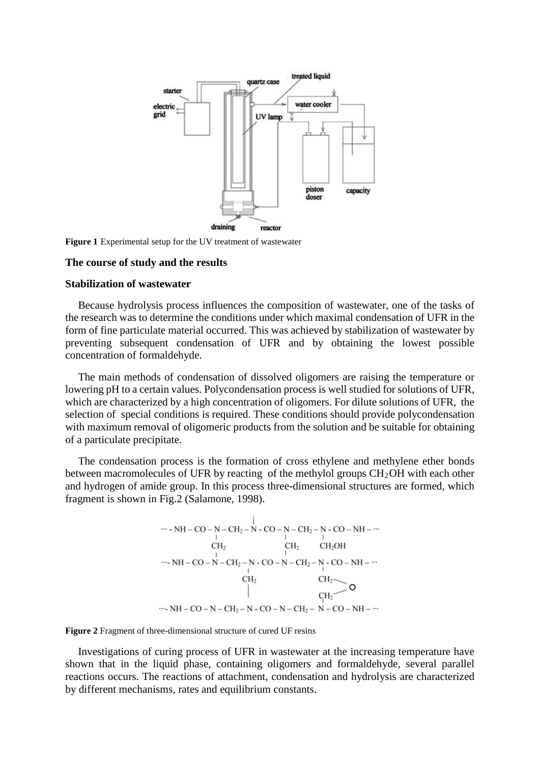

**Figure 1** Experimental setup for the UV treatment of wastewater

#### **The course of study and the results**

### **Stabilization of wastewater**

Because hydrolysis process influences the composition of wastewater, one of the tasks of the research was to determine the conditions under which maximal condensation of UFR in the form of fine particulate material occurred. This was achieved by stabilization of wastewater by preventing subsequent condensation of UFR and by obtaining the lowest possible concentration of formaldehyde.

The main methods of condensation of dissolved oligomers are raising the temperature or lowering pH to a certain values. Polycondensation process is well studied for solutions of UFR, which are characterized by a high concentration of oligomers. For dilute solutions of UFR, the selection of special conditions is required. These conditions should provide polycondensation with maximum removal of oligomeric products from the solution and be suitable for obtaining of a particulate precipitate.

The condensation process is the formation of cross ethylene and methylene ether bonds between macromolecules of UFR by reacting of the methylol groups  $CH<sub>2</sub>OH$  with each other and hydrogen of amide group. In this process three-dimensional structures are formed, which fragment is shown in Fig.2 (Salamone, 1998).



**Figure 2** Fragment of three-dimensional structure of cured UF resins

Investigations of curing process of UFR in wastewater at the increasing temperature have shown that in the liquid phase, containing oligomers and formaldehyde, several parallel reactions occurs. The reactions of attachment, condensation and hydrolysis are characterized by different mechanisms, rates and equilibrium constants.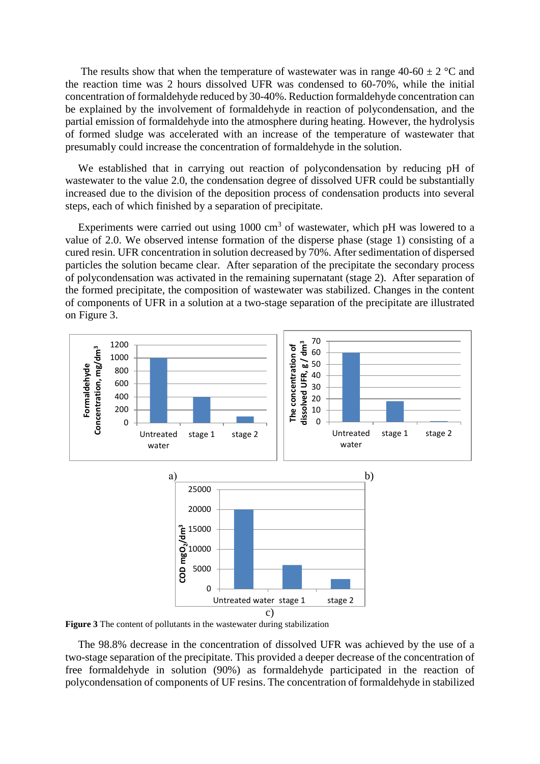The results show that when the temperature of wastewater was in range 40-60  $\pm$  2 °C and the reaction time was 2 hours dissolved UFR was condensed to 60-70%, while the initial concentration of formaldehyde reduced by 30-40%. Reduction formaldehyde concentration can be explained by the involvement of formaldehyde in reaction of polycondensation, and the partial emission of formaldehyde into the atmosphere during heating. However, the hydrolysis of formed sludge was accelerated with an increase of the temperature of wastewater that presumably could increase the concentration of formaldehyde in the solution.

We established that in carrying out reaction of polycondensation by reducing pH of wastewater to the value 2.0, the condensation degree of dissolved UFR could be substantially increased due to the division of the deposition process of condensation products into several steps, each of which finished by a separation of precipitate.

Experiments were carried out using  $1000 \text{ cm}^3$  of wastewater, which pH was lowered to a value of 2.0. We observed intense formation of the disperse phase (stage 1) consisting of a cured resin. UFR concentration in solution decreased by 70%. After sedimentation of dispersed particles the solution became clear. After separation of the precipitate the secondary process of polycondensation was activated in the remaining supernatant (stage 2). After separation of the formed precipitate, the composition of wastewater was stabilized. Changes in the content of components of UFR in a solution at a two-stage separation of the precipitate are illustrated on Figure 3.



**Figure 3** The content of pollutants in the wastewater during stabilization

The 98.8% decrease in the concentration of dissolved UFR was achieved by the use of a two-stage separation of the precipitate. This provided a deeper decrease of the concentration of free formaldehyde in solution (90%) as formaldehyde participated in the reaction of polycondensation of components of UF resins. The concentration of formaldehyde in stabilized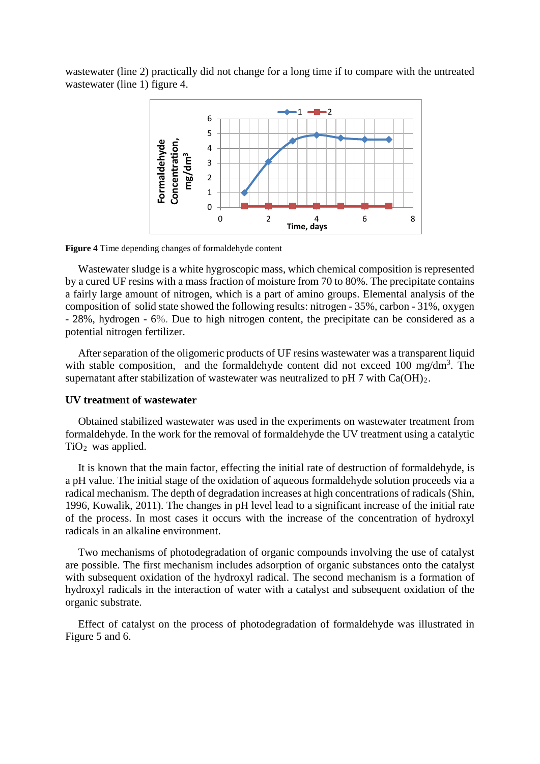wastewater (line 2) practically did not change for a long time if to compare with the untreated wastewater (line 1) figure 4.



**Figure 4** Time depending changes of formaldehyde content

Wastewater sludge is a white hygroscopic mass, which chemical composition is represented by a cured UF resins with a mass fraction of moisture from 70 to 80%. The precipitate contains a fairly large amount of nitrogen, which is a part of amino groups. Elemental analysis of the composition of solid state showed the following results: nitrogen - 35%, carbon - 31%, oxygen - 28%, hydrogen - 6%. Due to high nitrogen content, the precipitate can be considered as a potential nitrogen fertilizer.

After separation of the oligomeric products of UF resins wastewater was a transparent liquid with stable composition, and the formaldehyde content did not exceed 100 mg/dm<sup>3</sup>. The supernatant after stabilization of wastewater was neutralized to pH  $7$  with  $Ca(OH)_2$ .

#### **UV treatment of wastewater**

Obtained stabilized wastewater was used in the experiments on wastewater treatment from formaldehyde. In the work for the removal of formaldehyde the UV treatment using a catalytic  $TiO<sub>2</sub>$  was applied.

It is known that the main factor, effecting the initial rate of destruction of formaldehyde, is a pH value. The initial stage of the oxidation of aqueous formaldehyde solution proceeds via a radical mechanism. The depth of degradation increases at high concentrations of radicals (Shin, 1996, Kowalik, 2011). The changes in pH level lead to a significant increase of the initial rate of the process. In most cases it occurs with the increase of the concentration of hydroxyl radicals in an alkaline environment.

Two mechanisms of photodegradation of organic compounds involving the use of catalyst are possible. The first mechanism includes adsorption of organic substances onto the catalyst with subsequent oxidation of the hydroxyl radical. The second mechanism is a formation of hydroxyl radicals in the interaction of water with a catalyst and subsequent oxidation of the organic substrate.

Effect of catalyst on the process of photodegradation of formaldehyde was illustrated in Figure 5 and 6.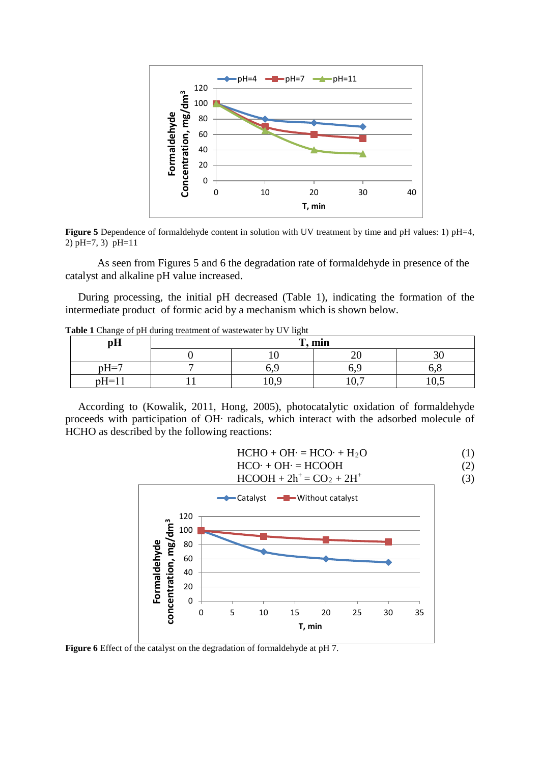

**Figure 5** Dependence of formaldehyde content in solution with UV treatment by time and pH values: 1) pH=4, 2) pH=7, 3) pH=11

As seen from Figures 5 and 6 the degradation rate of formaldehyde in presence of the catalyst and alkaline pH value increased.

During processing, the initial pH decreased (Table 1), indicating the formation of the intermediate product of formic acid by a mechanism which is shown below.

|  |  |  |  | Table 1 Change of pH during treatment of wastewater by UV light |  |  |
|--|--|--|--|-----------------------------------------------------------------|--|--|
|--|--|--|--|-----------------------------------------------------------------|--|--|

| pH      | $\mathbf{m}$ , min<br>$\mathbf{r}$ |      |     |      |  |  |
|---------|------------------------------------|------|-----|------|--|--|
|         |                                    |      |     | υc   |  |  |
| $pH=7$  | -                                  |      | o.y |      |  |  |
| $pH=11$ |                                    | 10.4 | 10, | 10.7 |  |  |

According to (Kowalik, 2011, Hong, 2005), photocatalytic oxidation of formaldehyde proceeds with participation of OH∙ radicals, which interact with the adsorbed molecule of HCHO as described by the following reactions:

 $HCHO + OH = HCO· + H<sub>2</sub>O$  (1)

 $HCO· + OH· = HCOOH$  (2)

 $HCOOH + 2h^+ = CO_2 + 2H^+$  (3) Catalyst - Without catalyst 120 concentration, mg/dm<sup>3</sup> **concentration, mg/dm3** 100 Formaldehyde **Formaldehyde**  80 60 40 20 0 0 5 10 15 20 25 30 35 **Т, min**

**Figure 6** Effect of the catalyst on the degradation of formaldehyde at pH 7.